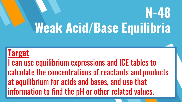# **Weak Acid/Base Equilibria**

**N-48**

#### **Target**

I can use equilibrium expressions and ICE tables to calculate the concentrations of reactants and products at equilibrium for acids and bases, and use that information to find the pH or other related values.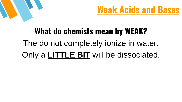



## **What do chemists mean by WEAK?** The do not completely ionize in water. Only a **LITTLE BIT** will be dissociated.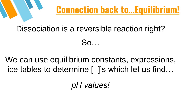

# Dissociation is a reversible reaction right?

So…

We can use equilibrium constants, expressions, ice tables to determine [ ]'s which let us find…

*pH values!*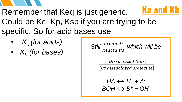

- Remember that Keq is just generic. Could be Kc, Kp, Ksp if you are trying to be specific. So for acid bases use: **Ka and Kb**
	- *K<sup>a</sup> (for acids)*
	- *K<sup>b</sup> (for bases)*

Still 
$$
\frac{Products}{Reactants}
$$
 which will be

[Dissociated Ions]

[Undissociated Molecule]

 $HA \leftrightarrow H^+ + A^ BOH \leftrightarrow B^+ + OH^-$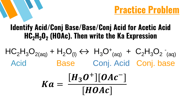**Practice Problem**

#### **Identify Acid/Conj Base/Base/Conj Acid for Acetic Acid HC2H3O<sup>2</sup> (HOAc). Then write the Ka Expression**

#### $HC_2H_3O_{2(aq)}$  +  $H_2O_{(l)} \leftrightarrow H_3O_{(aq)}$  +  $C_2H_3O_2$ (aq) Acid Base Conj. Acid Conj. base  $Ka =$  $H_3O^+$ ][OAc<sup>-</sup>]

 $[HOAC]$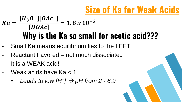## **Size of Ka for Weak Acids**

#### **Why is the Ka so small for acetic acid???**  $Ka =$  $H_3O^+$ ][OAc<sup>-1</sup>  $[HOAC]$  $= 1.8 x 10^{-5}$

- Small Ka means equilibrium lies to the LEFT
- Reactant Favored not much dissociated
- It is a WEAK acid!
- Weak acids have Ka < 1
	- Leads to low  $[H^+] \rightarrow pH$  from 2 6.9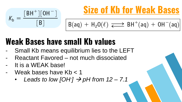

### **Size of Kb for Weak Bases**

$$
B(aq) + H_2O(\ell) \xrightarrow{\longrightarrow} BH^+(aq) + OH^-(aq)
$$

### **Weak Bases have small Kb values**

- Small Kb means equilibrium lies to the LEFT
- Reactant Favored not much dissociated
- It is a WEAK base!
- Weak bases have Kb < 1
	- Leads to low  $[OH]$   $\rightarrow$  pH from 12 7.1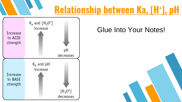### **Relationship between Ka, [H<sup>+</sup> ], pH**



#### Glue Into Your Notes!

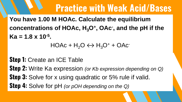**You have 1.00 M HOAc. Calculate the equilibrium concentrations of HOAc, H3O<sup>+</sup> , OAc- , and the pH if the Ka = 1.8 x 10-5 .**

#### $HOAc + H<sub>2</sub>O \leftrightarrow H<sub>3</sub>O<sup>+</sup> + OAc<sup>-</sup>$

**Step 1:** Create an ICE Table **Step 2:** Write Ka expression *(or Kb expression depending on Q)* **Step 3:** Solve for x using quadratic or 5% rule if valid. **Step 4:** Solve for pH *(or pOH depending on the Q)*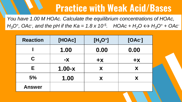*You have 1.00 M HOAc. Calculate the equilibrium concentrations of HOAc, H*<sub>3</sub>*O*<sup>+</sup>, OAc<sup>-</sup>, and the pH if the Ka = 1.8 x 10<sup>-5</sup>. HOAc + H<sub>2</sub>O  $\leftrightarrow$  H<sub>3</sub>O<sup>+</sup> + OAc<sup>-</sup>

| <b>Reaction</b> | [HOAc]     | $[H_3O^+]$ | [OAC] |
|-----------------|------------|------------|-------|
|                 | 1.00       | 0.00       | 0.00  |
| C.              | $-X$       | $+X$       | $+X$  |
| Е               | $1.00 - x$ | X          | X     |
| 5%              | 1.00       | X          | X     |
| <b>Answer</b>   |            |            |       |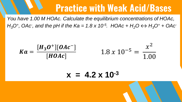*You have 1.00 M HOAc. Calculate the equilibrium concentrations of HOAc, H*<sub>3</sub>*O*<sup>+</sup>, OAc<sup>-</sup>, and the pH if the Ka = 1.8 x 10<sup>-5</sup>. HOAc + H<sub>2</sub>O  $\leftrightarrow$  H<sub>3</sub>O<sup>+</sup> + OAc<sup>-</sup>



 $x = 4.2 \times 10^{-3}$ 

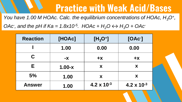*You have 1.00 M HOAc. Calc. the equilibrium concentrations of HOAc, H3O<sup>+</sup> , OAc*, and the pH if  $Ka = 1.8x10^{-5}$ . HOAc +  $H_2O \leftrightarrow H_3O$  + OAc<sup>-</sup>

| <b>Reaction</b> | [HOAc]     | $[H_3O^+]$           | [OAC]                |
|-----------------|------------|----------------------|----------------------|
|                 | 1.00       | 0.00                 | 0.00                 |
| C.              | $-X$       | $+X$                 | $+X$                 |
| Е               | $1.00 - x$ | X                    | X                    |
| 5%              | 1.00       | X                    | X                    |
| <b>Answer</b>   | 1.00       | $4.2 \times 10^{-3}$ | $4.2 \times 10^{-3}$ |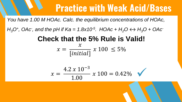*You have 1.00 M HOAc. Calc. the equilibrium concentrations of HOAc,* 

*H*<sub>3</sub>O<sup>+</sup>, OAc<sup>-</sup>, and the pH if Ka = 1.8x10<sup>-5</sup>. HOAc + H<sub>2</sub>O  $\leftrightarrow$  H<sub>3</sub>O + OAc<sup>-</sup>

#### **Check that the 5% Rule is Valid!**  $x =$  $\chi$  $[initial]$  $x 100 \le 5\%$

$$
x = \frac{4.2 \times 10^{-3}}{1.00} \times 100 = 0.42\%
$$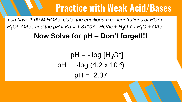*You have 1.00 M HOAc. Calc. the equilibrium concentrations of HOAc, H*<sub>3</sub>O<sup>+</sup>, OAc<sup>-</sup>, and the pH if Ka = 1.8x10<sup>-5</sup>. HOAc + H<sub>2</sub>O  $\leftrightarrow$  H<sub>3</sub>O + OAc<sup>-</sup>

#### **Now Solve for pH – Don't forget!!!**

$$
pH = -\log [H_3O^+]
$$
  
 
$$
pH = -\log (4.2 \times 10^{-3})
$$
  
 
$$
pH = 2.37
$$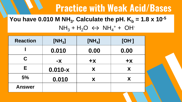#### **You have 0.010 M NH**<sub>3</sub>. Calculate the pH.  $K_{b} = 1.8 \times 10^{-5}$  $NH_3 + H_2O \leftrightarrow NH_4^+ + OH^-$

| <b>Reaction</b> | $[NH_3]$  | $[NH_4]$ | $[OH-]$ |
|-----------------|-----------|----------|---------|
|                 | 0.010     | 0.00     | 0.00    |
| C               | $-X$      | $+X$     | $+X$    |
| E.              | $0.010-x$ | X        | X       |
| 5%              | 0.010     | X        | X       |
| <b>Answer</b>   |           |          |         |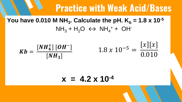#### **You have 0.010 M NH**<sub>3</sub>. Calculate the pH.  $K_b = 1.8 \times 10^{-5}$  $NH_3 + H_2O \leftrightarrow NH_4^+ + OH^-$



#### $x = 4.2 \times 10^{-4}$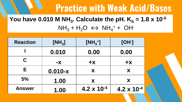#### **You have 0.010 M NH**<sub>3</sub>. Calculate the pH.  $K_b = 1.8 \times 10^{-5}$  $NH_3 + H_2O \leftrightarrow NH_4^+ + OH^-$

| <b>Reaction</b> | [NH <sub>3</sub> ] | $[NH_4^+]$           | $[OH-]$              |
|-----------------|--------------------|----------------------|----------------------|
|                 | 0.010              | 0.00                 | 0.00                 |
| C               | <b>-X</b>          | $+X$                 | $+X$                 |
| Е               | $0.010-x$          | X                    | X                    |
| 5%              | 1.00               | X                    | X                    |
| <b>Answer</b>   | 1.00               | $4.2 \times 10^{-4}$ | $4.2 \times 10^{-4}$ |